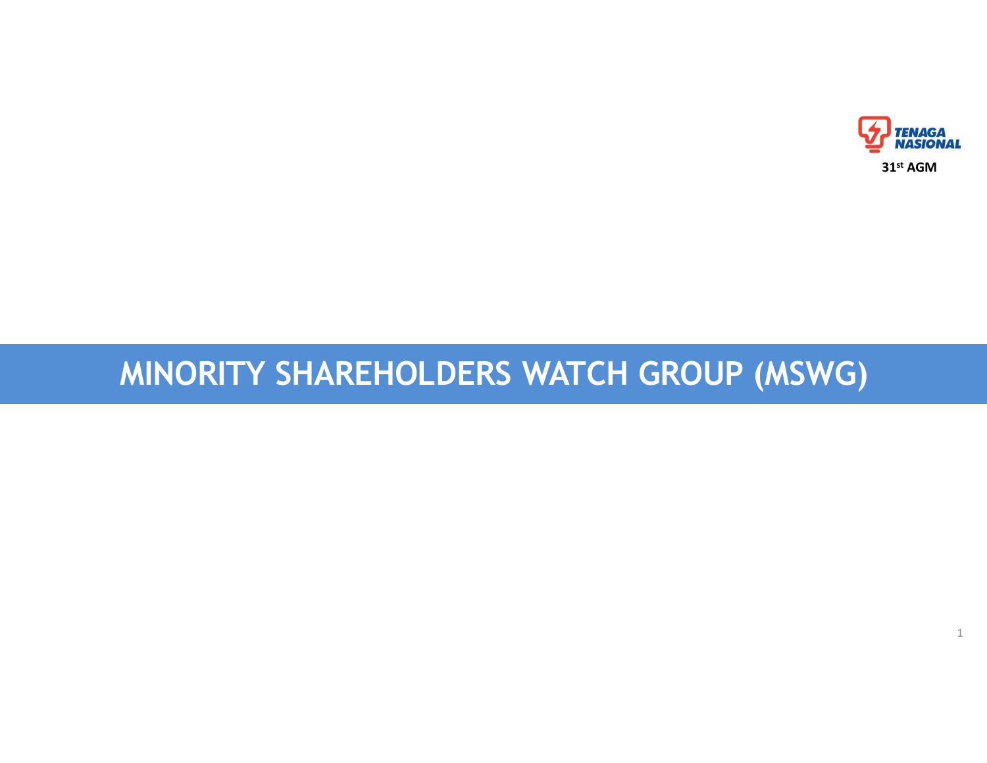# MINORITY SHAREHOLDERS WATCH GROUP (MSWG)



1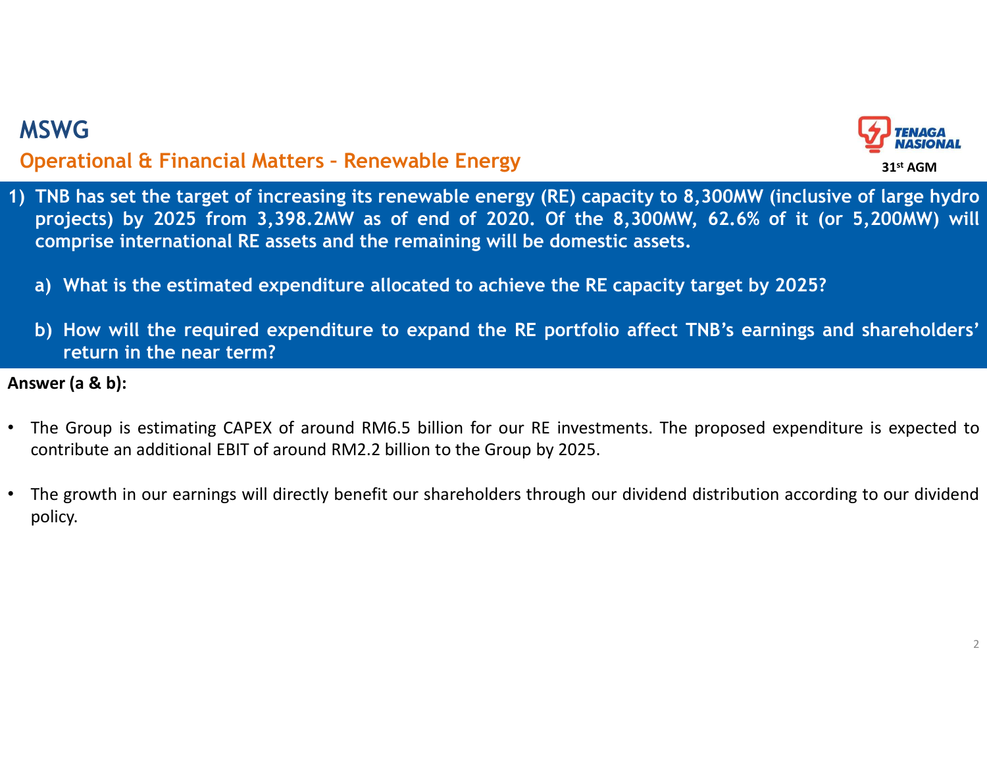

- 1) TNB has set the target of increasing its renewable Energy<br>
1) TNB has set the target of increasing its renewable energy (RE) capacity to 8,300MW (inclusive of large hydro<br>
projects) by 2025 from 3,398.2MW as of end of SWG<br>
perational & Financial Matters - Renewable Energy<br>
TNB has set the target of increasing its renewable energy (RE) capacity to 8,300MW (inclusive of large hydro<br>
projects) by 2025 from 3,398.2MW as of end of 2020. Of t comprise international RE assets and the remaining will be domestic assets. a) Most is the estimated Matters - Renewable Energy<br>
TNB has set the target of increasing its renewable energy (RE) capacity to 8,300MW (inclusive of large hydro<br>
projects) by 2025 from 3,398.2MW as of end of 2020. Of the **Conduct Action Conduct Conduct Conduct Conduct Conduct Conduct Conduct** TNB has set the target of increasing its renewable energy (RE) capacity to 8,300MW (inclusive of large hydro projects) by 2025 from 3,398.2MW as of e VG<br>
Traitional & Financial Matters - Renewable Energy<br>
B has set the target of increasing its renewable energy (RE) capaci<br>
jects) by 2025 from 3,398.2MW as of end of 2020. Of the 8,<br>
inprise international RE assets and th Answer (a & b):<br>
The Group is est the target of increasing its renewable Energy<br>
1) TNB has set the target of increasing its renewable energy (RE) capacity to 8,300MW (inclusive of large hydro<br>
1) TNB has set the target of **Contribute an additional EE Financial Matters - Renewable Energy** (RE) capacity to 8,300MW (inclusive of large hydro projects) by 2025 from 3,398.2MW as of end of 2020. Of the 8,300MW, 62.6% of it (or 5,200MW) will compri MSWG<br>Operational & Financial Matters - Renewable Energy<br>
) TNB has set the target of increasing its renewable energy (RE) capacity to 8,300M<br>
projects) by 2025 from 3,398.2MW as of end of 2020. Of the 8,300MW, 62.69<br>
compr
	-
	-

- 
- policy.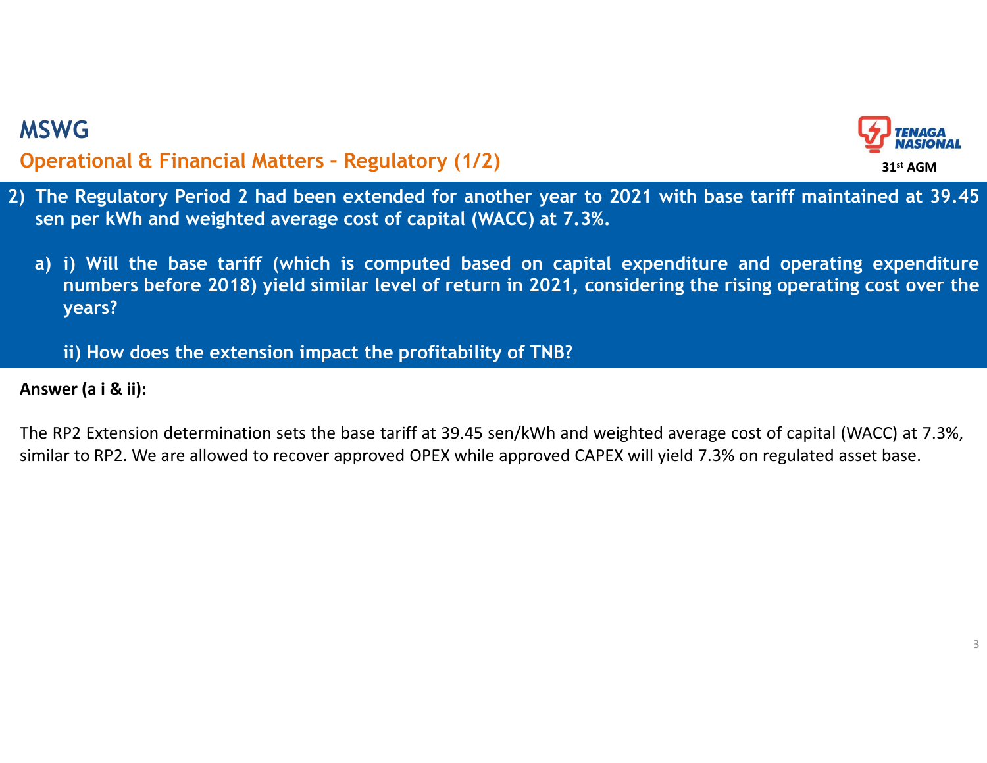

- 2) The Regulatory Period 2 had been extended for another year to 2021 with base tariff maintained at 39.45<br>2) The Regulatory Period 2 had been extended for another year to 2021 with base tariff maintained at 39.45<br>3) i) Wi MSWG<br>Operational & Financial Matters - Regulatory (1/2)<br>) The Regulatory Period 2 had been extended for another year to 2021 with base<br>sen per kWh and weighted average cost of capital (WACC) at 7.3%.
	- SWG<br> **SERVIG DEFECT CONTER CONTER CONTAINS CONTAINS CONTAINS CONTAINS CONTAINST DEPTH AND MASIONAL**<br>
	The Regulatory Period 2 had been extended for another year to 2021 with base tariff maintained at 39.4<br>
	Sen per kWh and w SWG<br> **a)** i) Will the Regulatory Period 2 had been extended for another year to 2021 with base tariff maintained at 39.45<br>
	a) i) Will the base tariff (which is computed based on capital expenditure and operating expenditu numbers before 2018) yield similar level of return in 2021, with base tariff maintained at 39.45<br>
	i) Will the base tariff (which is computed based on capital expenditure and operating expenditure<br>
	i) Will the base tariff ( years? **individed** Extension and the Financial Matters - Regulatory (1/2)<br> **Extending to the extended** for another year to 2021 with base tariff maintained at 3<br>
	per kWh and weighted average cost of capital (WACC) at 7.3%.<br>
	(i) W MSWG<br>
	Operational & Financial Matters - Regulatory (1/2)<br>
	) The Regulatory Period 2 had been extended for another<br>
	sen per kWh and weighted average cost of capital (WACC)<br>
	a) i) Will the base tariff (which is computed base The Regulatory Period 2 had been extended for another year to 2021 with base tariff maintained at 39.45<br>
	Sum per kWh and weighted average cost of capital (WACC) at 7.3%.<br>
	a) i) will the base tariff (which is computed base **Operational & Financial Matters - Regulatory (1/2)**<br>
	The Regulatory Period 2 had been extended for another year to 2021 with base tariff maintained at 39.45<br>
	sen per kWh and weighted average cost of capital (WACC) at 7.3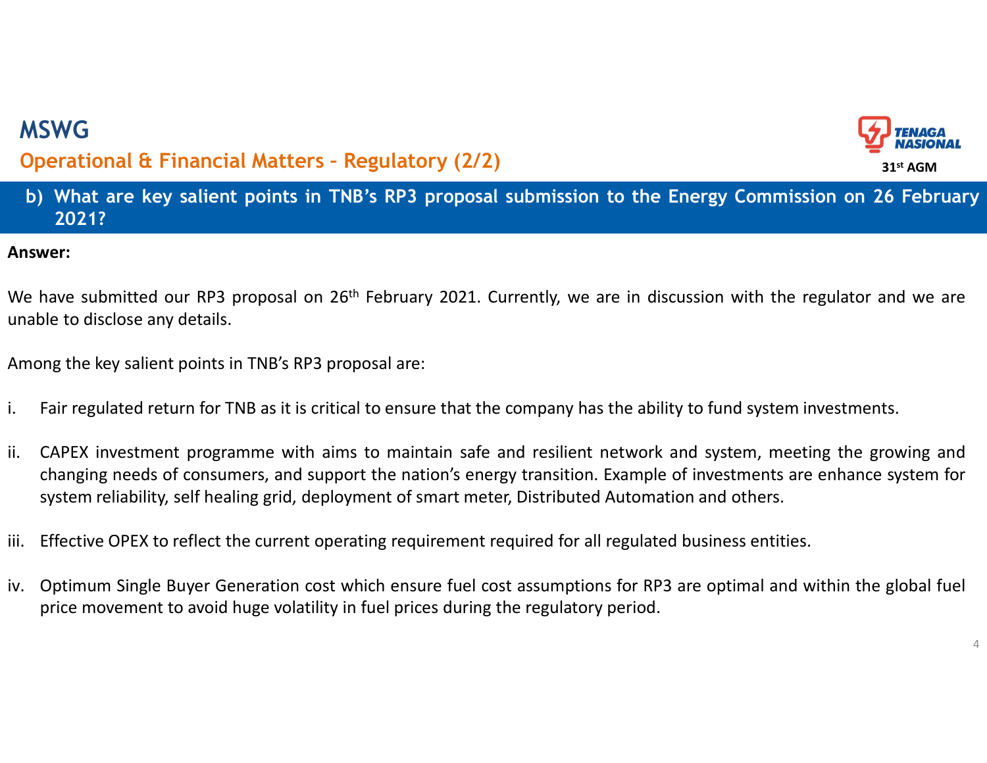

# **MSWG**<br> **Deperational & Financial Matters - Regulatory (2/2)**<br>
b) What are key salient points in TNB's RP3 proposal submission to the Energy Commission on 26 February<br>
2021?<br>
swer: 2021? MSWG<br>Operational & Financial Matters - Regulatory (2/2)<br>b) What are key salient points in TNB's RP3 proposal submission to the Energy Co<br>2021?

## Answer:

MSWG<br>
Operational & Financial Matters - Regulatory (2/2)<br>
b) What are key salient points in TNB's RP3 proposal submission to the Energy Commission on 26 February<br>
2021?<br>
Answer:<br>
We have submitted our RP3 proposal on 26<sup>t</sup> MSWG<br>
Operational & Financial Matters - Regulatory (2/2)<br>
b) What are key salient points in TNB's RP3 proposal submissic<br>
2021?<br>
Answer:<br>
We have submitted our RP3 proposal on 26<sup>th</sup> February 2021. Currently, we<br>
unable to MSWG<br> **Operational & Financial Matters - Regulatory (2/2)**<br> **b)** What are key salient points in TNB's RP3 proposal submission to the Energy Commis:<br>
2021?<br>
We have submitted our RP3 proposal on 26<sup>th</sup> February 2021. Curren

- 
- **i.** Fair regulated return for TNB as it is critical to ensure that the company has the ability to fund system investments.<br>
i. Fair regulated our RP3 proposal on 26<sup>th</sup> February 2021. Currently, we are in discussion with **Operational & Financial Matters - Regulatory (2/2)**<br> **b)** What are key salient points in TNB's RP3 proposal submission to the Energy Commission on 26 February<br>
2021?<br>
Answer:<br>
We have submitted our RP3 proposal on 26<sup>th</sup> **EVALUAT AND THE SET CONSUMED THE NEERT SET CONSUMISED TO A 2014 A 2021?**<br> **A 2021?**<br> **A 2021?**<br> **A 2021?**<br> **A 2021?**<br> **A 2021?**<br> **A 2021?**<br> **A** 2021?<br> **A** 2021?<br> **A** 2021?<br> **A** 2021?<br> **A** 2021:<br> **P** 2021:<br> **P** 2021:<br> **P** Statem reliability, self healing grid, deployment of smart meter, Distributed Numinston on 26 February 2021?<br>Wer:<br>Wer:<br>Were:<br>Have submitted our RP3 proposal on 26<sup>th</sup> February 2021. Currently, we are in discussion with the **Answer:**<br>We have submitted our RP3 proposal on 26<sup>th</sup> February 2021. Currently, we are in discussion with the regulator and we are<br>unable to disclose any details.<br>Among the key salient points in TNB's RP3 proposal are:<br>i. We have submitted our RP3 proposal on 26<sup>th</sup> February 2021. Currently, we are in discussion with the regulator and we are<br>unable to disclose any details.<br>Among the key salient points in TNB's RP3 proposal are:<br>i. Fair regu mave submitted our Kr-s proposal on Zo<sup>oo</sup> rebruarly 2021. Currently, we are in discussion with the regulator and we are<br>ple to disclose any details.<br>Fair regulated return for TNB as it is critical to ensure that the compa
- 
-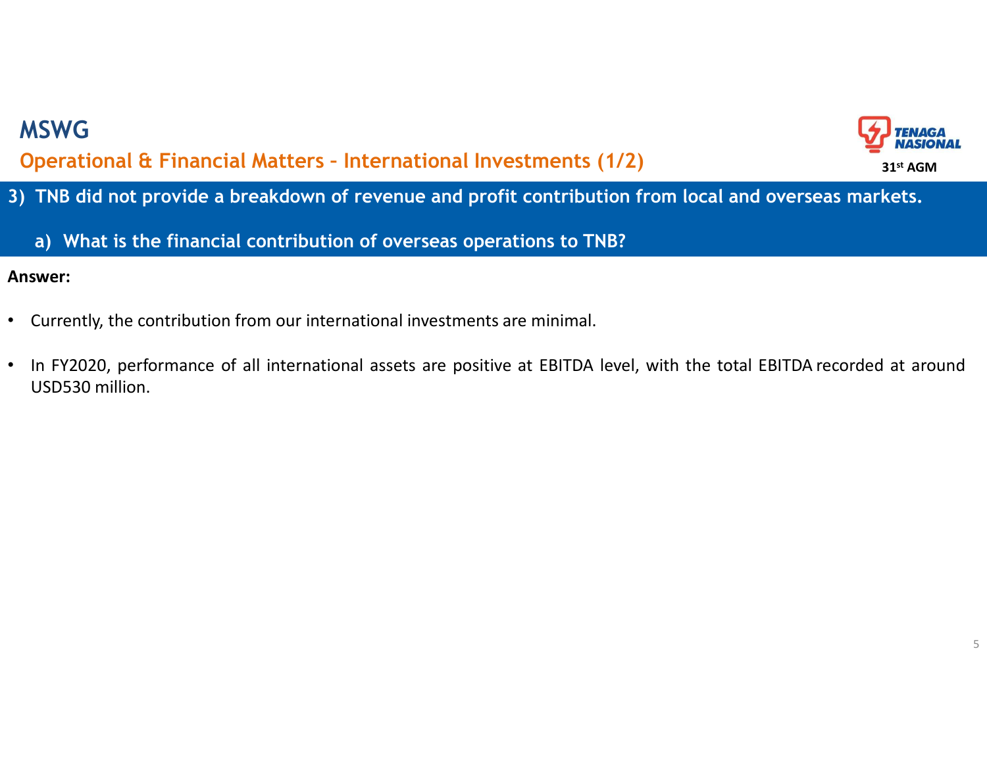

3) THE did not provide a breakdown of revenue and profit contribution from local and overseas markets.<br>3) TNB did not provide a breakdown of revenue and profit contribution from local and overseas markets.<br>3) What is the f SWG<br> **a)** The financial contribution of revenue and profit contribution from local and overseas markets.<br>
a) What is the financial contribution of overseas operations to TNB?<br>
a) What is the financial contribution of over MSWG<br>Operational & Financial Matters - International Investments (1/2)<br>TNB did not provide a breakdown of revenue and profit contribution from local and<br>a) What is the financial contribution of overseas operations to TNB?

- 
- **Current Current Current Current Current Current Current Current Current Current Current Current Current Current Current Current Current Current Current Current Current Current Current Current Current Current Current Curr ASWG**<br>**Perational & Financial Matters - International Inv**<br>**TNB did not provide a breakdown of revenue and prof<br><b>a)** What is the financial contribution of overseas oper<br>swer:<br>Currently, the contribution from our internati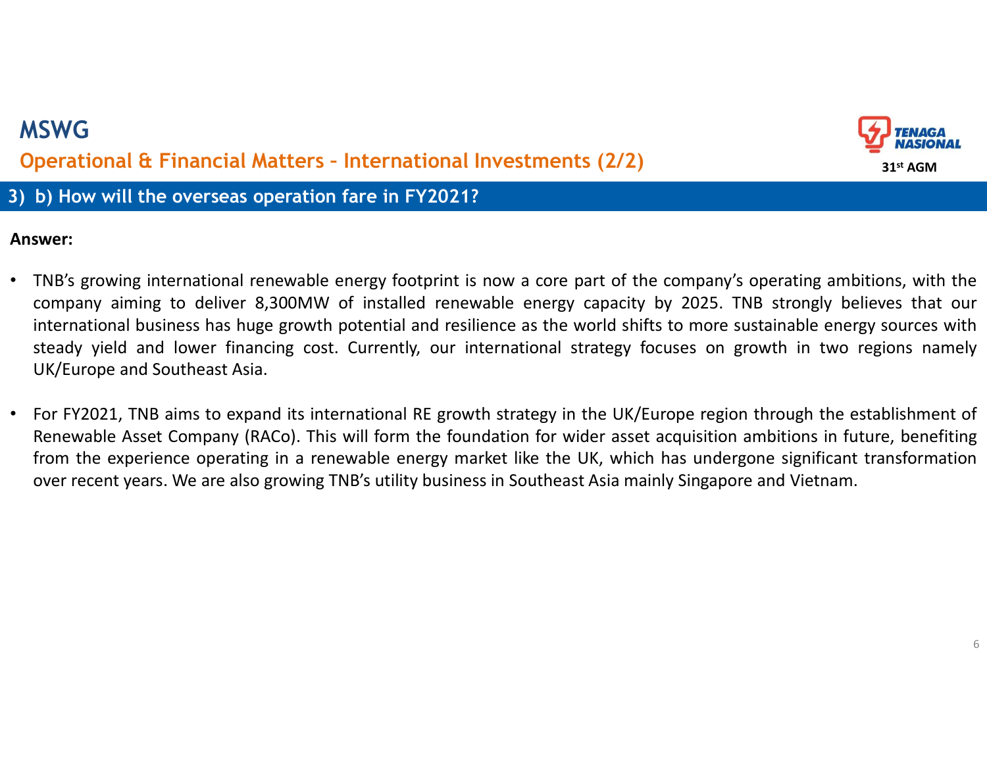# 1999)<br>3) b) How will the overseas operation fare in FY2021?<br>3) b) How will the overseas operation fare in FY2021?<br>Answer: MSWG MSWG<br>Operational & Financial Matters - International Investments (2/2)<br>) b) How will the overseas operation fare in FY2021?<br>nswer:



- **EVALUATE CONSTRANT CONSTRANT CONSTRANT CONSTRANT CONSTRANT CONSTRANT CONSTRANT CONSTRANT CONSTRANT CONSTRANT CONSTRANT CONSTRANT CONSTRANT CONSTRANT CONSTRANT ANSWER:<br>
 TNB's growing international renewable energy footp** CONG<br>
Comparational & Financial Matters - International Investments (2/2)<br>
b) How will the overseas operation fare in FY2021?<br>
Signestic and the overseas operation fare in FY2021?<br>
Signestic and the company's operating amb **international diverses has huge growth potential and resilience as the world shifts of the company's operating ambitions, with the company aiming to deliver 8,300MW of installed renewable energy capacity by 2025. TNB stro** SWG<br> **SERVENT DEVALUATE CONTEXT CONTEXT CONTEXT CONTEXT CONTEXT CONTEXT CONTEXT ON A SUMPLE OF THE OF THE OF THE OF<br>
SUMPLE STEAD IN THE OF THE OF THE OF THE OF THE OF THE OF THE OF THE OF THE OF THE OF THE OF THE OF THE O** UK/Europe and Southeast Asia. • For FY2021, The wind international Investments (2/2)<br>
UK and Southeast Asian Control of the Company's operating ambitions, with the<br>
Survey:<br>
TNB's growing international renewable energy fo Renewable Asset Company in the overseas operation fare in FY2021?<br>
Surface Asset Company in the overseas operation fare in FY2021?<br>
Surface Asset Company aiming to deliver 8,300MW of installed renewable energy capacity by **EXPERIMENT THE EXPERIME INTERT CONDUCT THE CONDUCT THE EXPERIMENT ON THE SET THE SUPPLE THE SUPPLEM THAT THE SUPPLEM THAT THE SUPPLEM THAT THE SUPPLEM THAT THE SUPPLEM THAT THE SUPPLEM THAT THE SUPPLEM THAT THE SUPPLEM I Souther of the conservation of the FY2021?**<br> **Southern Systems** and the company's operating ambitions, with the company's growing international business has buge growth potential and resilience as the world shifts to more
-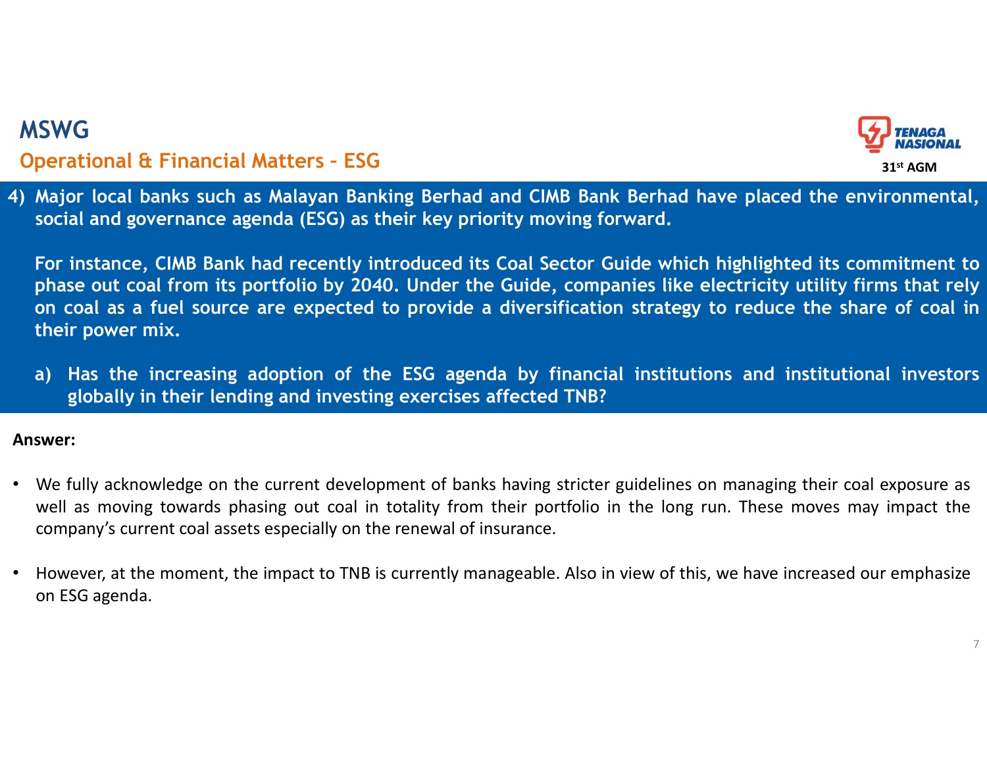

MSWG<br> **Operational & Financial Matters - ESG**<br>
4) Major local banks such as Malayan Banking Berhad and CIMB Bank Berhad have placed the environmental,<br>
social and governance agenda (ESG) as their key priority moving forwar MSWG<br>Operational & Financial Matters - ESG<br>) Major local banks such as Malayan Banking Berhad and CIMB Bank Berhad have <sub>F</sub><br>social and governance agenda (ESG) as their key priority moving forward.

SWG<br> **SERVIG PERITE AND SERVIE CONSTRANCE AND SERVIE CONSTRANCE AND SERVIE AND SERVIE AND SUPPRESS ANALY SOCIAL AND SUPPRESS ANALYSIS (SCILL AND SOCIAL AND SOCIAL AND SOCIAL AND SOCIAL AND SOCIAL AND SOCIAL AND SOCIAL AND** For instance, CIMB Bank had recently introduced its Coal Sector Guide which highlighted its commitmental,<br>For instance, CIMB Bank had recently introduced its Coal Sector Guide which highlighted its commitment to<br>phase out **EXAMPERT CONCERT CONCERT CONCERT CONCERT CONCERT CONCERT CONCERT CONCERT CONCERT CONCERT CONCERT CONCERT CONCERT CONCERT CONCERT CONCERT CONCERT CONCERT CONCERT CONCERT CONCERT CONCERT CONCERT CONCERT CONCERT CONCERT CONC SWG**<br> **on** cocal banks such as Malayan Banking Berhad and CIMB Bank Berhad have placed the environmental,<br>
Major local banks such as Malayan Banking Berhad and CIMB Bank Berhad have placed the environmental,<br>
social and **SWG**<br> **perational & Financial Matters - ESG**<br>
Major local banks such as Malayan Banking Berhad and CIN<br>
social and governance agenda (ESG) as their key priority mo<br>
For instance, CIMB Bank had recently introduced its Coal **EXALC SECT FRANCE CONSTRANCE CONSTRANCE INTEGRAL CONSTRANCE AND SURVEY THE SURVEY ON A SUGARDON MAJOR DETERMINENT SOCIAL AND SOCIAL AND SOCIAL ADDITIONAL SOCIAL AND SOCIAL AND SOCIAL THE INCREDIBLEM ON THE SOCIETY INTEGRA** G<br>
ational & Financial Matters - ESG<br>
or local banks such as Malayan Banking Berhad and CIMB Bank Berhad have placed the environmental<br>
al and governance agenda (ESG) as their key priority moving forward.<br>
instance, CIMB B <sup>4</sup>) Major local banks such as Malayan Banking Berhad and CIMB Bank Berhad have placed the environmental, social and governance agenda (ESG) as their key priority moving forward.<br>
For instance, CIMB Bank had recently intro may rocal banks such as malayan banking bernad and Clms bank bernad nave placed the environmental,<br>social and governance agenda (ESG) as their key priority moving forward.<br>For instance, CIMB Bank had recently introduced it social and governance agenda (ESO) as their key priority moving forward.<br>
For instance, CIMB Bank had recently introduced its Coal Sector Guide which highlighted its commitment to<br>
phase out coal from its portfolio by 2040

- phase out coal from its portrollo by 2040, Under the<br>on coal as a fuel source are expected to provide a<br>their power mix.<br>a) Has the increasing adoption of the ESG agenda<br>globally in their lending and investing exercises af
-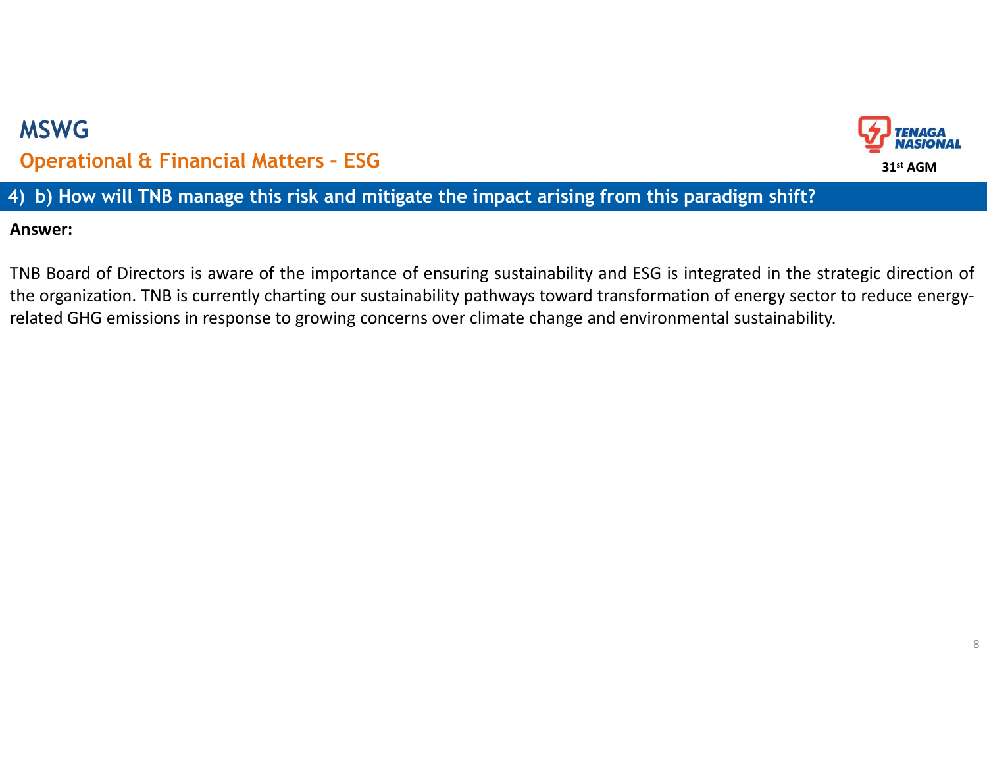# 4) MSWG<br> **4)** Deperational & Financial Matters - ESG<br>
4) b) How will TNB manage this risk and mitigate the impact arising from this paradigm shift?<br>
Answer:<br>
4) TNB Board of Directors is aware of the importance of ensuring MSWG MSWG<br>Operational & Financial Matters - ESG<br>) b) How will TNB manage this risk and mitigate the impact arising from this paradigr<br>nswer:



Answer:

THE Board of Directors is aware of the importance of ensuring sustainability and ESG is integrated in the strategic direction of<br>THE Board of Directors is aware of the importance of ensuring sustainability and ESG is integ the organization. The impact arising from this paradigm shift?<br>
(a) b) How will TNB manage this risk and mitigate the impact arising from this paradigm shift?<br>
Answer:<br>
TNB Board of Directors is aware of the importance of **CONTROVIGENT CONTROVIDED CONTROVIDED CONTROVIDED CONTROVIDED CONTROVIDED**<br> **ADDED**<br> **ADDED**<br> **ADDED**<br> **ADDED**<br> **ADDED**<br> **ADDED**<br> **ADDED**<br> **ADDED**<br> **ADDED**<br> **ADDED**<br> **ADDED**<br> **ADDED**<br> **ADDED**<br> **ADDED**<br> **ADDED**<br> **ADDED**<br> **A**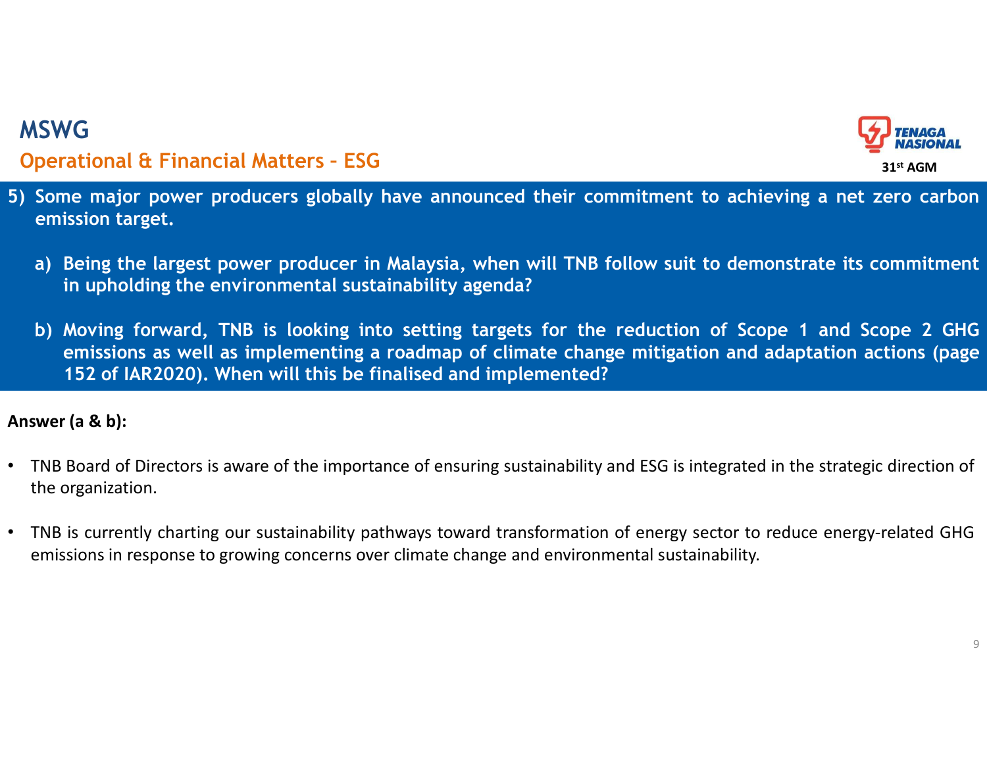

- SENG<br>
Special Acters ESG<br>
Some major power producers globally have announced their commitment to achieving a net zero carbon<br>
emission target.<br>
a) Being the largest power producer in Malaysia, when will TNB follow suit t MSWG<br>Operational & Financial Matters - ESG<br>) Some major power producers globally have announced their commitment to ach<br>emission target.
	- SWG<br>Perational & Financial Matters ESG<br>Some major power producers globally have announced<br>emission target.<br>a) Being the largest power producer in Malaysia, when<br>in upholding the environmental sustainability agenda a) Being the largest power producers globally have announced their commitment to achieving a net zero carbon emission target.<br>
	a) Being the largest power producer in Malaysia, when will TNB follow suit to demonstrate its c
- **VG**<br> **Regional & Financial Matters ESG**<br> **Region target,**<br> **Region target,**<br> **Being the largest power producer in Malaysia, when will TNB follow suit to demonstrate its<br>
in upholding the environmental sustainability age b**) ET EXECT EXECT FOR DETAINMENT CONDUCTED TRIMATE SOME major power producers globally have announced their commitment to achieving a net zero carbon emission target.<br>
A Being the largest power producer in Malaysia, when emissions as well as implemential political as implemented their commitment to achieving a net zero carbon arget,<br>assion target, the largest power producer in Malaysia, when will TNB follow suit to demonstrate its commitme (G)<br>
152 of Iarland Committeen Fourth and their commitment to achieving a net ze<br>
152 of Iarlyce prover producer in Malaysia, when will TNB follow suit to demonstrate its continupholding the environmental sustainability ag **Answer (a & b):**<br>
The one major power producers globally have announced their commitment to achieving a net zero carbon<br>
emission target.<br>
a) Being the largest power producer in Malaysia, when will TNB follow suit to dem 5) Some major power producers globally have announced their commitment to achieving a net zero carbon emission target.<br>
• The largest power producer in Malaysia, when will TNB follow suit to demonstrate its commitment in u emissions in response to growing concerns in Malaysia, when will TNB follow suit to demonstrate its commitment<br>
in upholding the environmental sustainability agenda?<br>
b) Moving forward, TNB is looking into setting targets

- 
-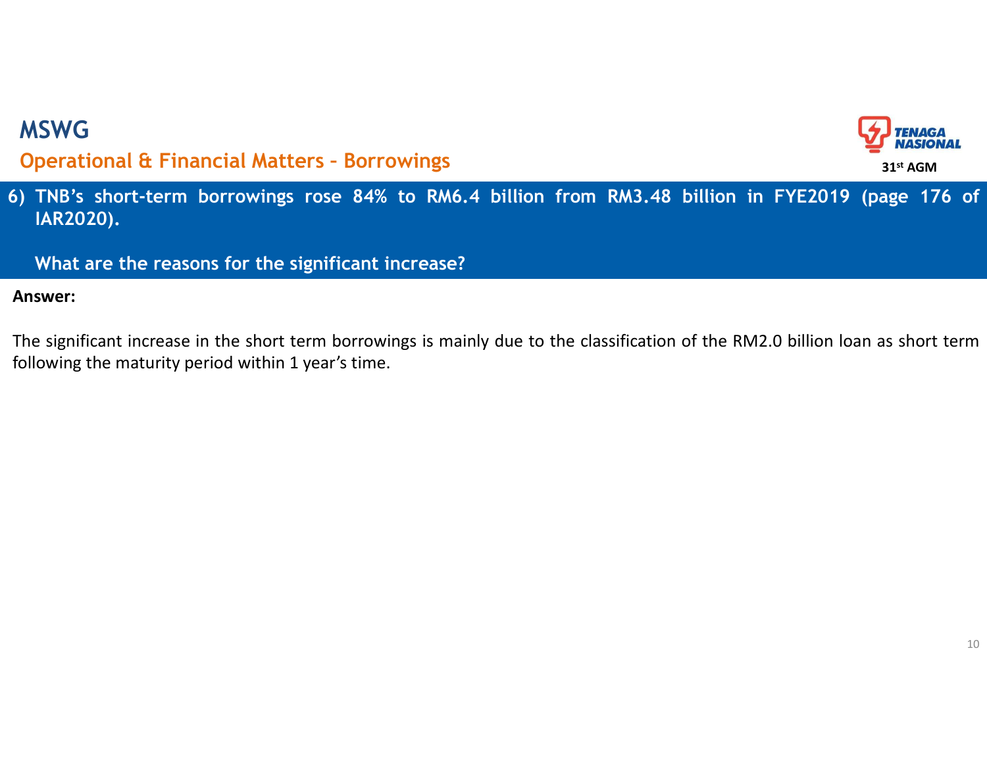

6) MSWG<br> **Operational & Financial Matters - Borrowings**<br>
6) TNB's short-term borrowings rose 84% to RM6.4 billion from RM3.48 billion in FYE2019 (page 176 of IAR2020).<br>
What are the reasons for the significant increase? IAR2020). SWG<br>perational & Financial Matters - Borrowings<br>TNB's short-term borrowings rose 84% to RM6.4 billion from RM3.48 billion in FY<br>JAR2020).<br>What are the reasons for the significant increase?<br>swer:<br>e significant increase in t The significant increase in the significant increase?<br>The significant increase in the significant increase?<br>Answer:<br>The significant increase in the short term borrowings is mainly due to the classification of the RM2.0 bil MSWG<br>
Operational & Financial Matters - Borrowings<br>
5) TNB's short-term borrowings rose 84% to RM6.4 billion from RM3.48 billion ir<br>
IAR2020).<br>
What are the reasons for the significant increase?<br>
Answer:<br>
The significant i MSWG<br>Operational & Financial Matters - Borrowings<br>) TNB's short-term borrowings rose 84% to RM6.4 billion from RM3.48 billion i<br>IAR2020).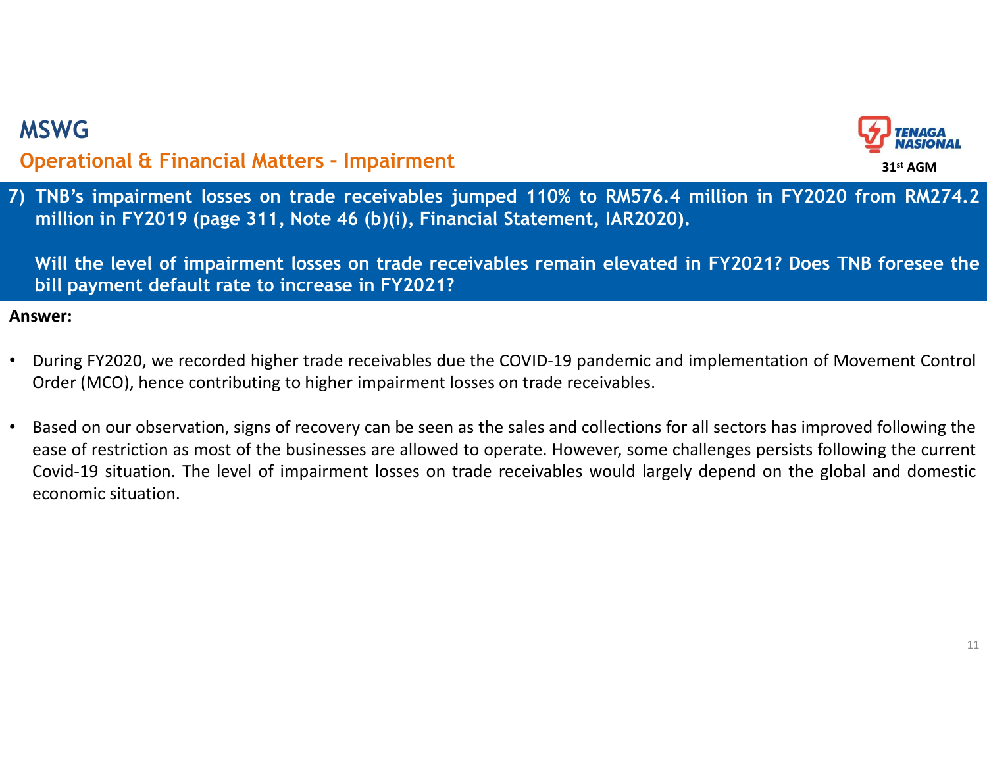

THE CONSIDENTIAL Operational & Financial Matters - Impairment<br>
7) TNB's impairment losses on trade receivables jumped 110% to RM576.4 million in FY2020 from RM274.2<br>
million in FY2019 (page 311, Note 46 (b)(i), Financial S SWG<br>
perational & Financial Matters - Impairment<br>
TNB's impairment losses on trade receivables jumped 110% to RM576.4 million in FY2020 from RM274.2<br>
million in FY2019 (page 311, Note 46 (b)(i), Financial Statement, IAR202 SWG<br>
perational & Financial Matters - Impairment<br>
TNB's impairment losses on trade receivables jumped 110% to RM576.4 million in FY2020 from RM274.2<br>
million in FY2019 (page 311, Note 46 (b)(i), Financial Statement, IAR202 SWG<br>perational & Financial Matters - Impairment<br>TNB's impairment losses on trade receivables jumped 110% to RM576.4 million in F<br>million in FY2019 (page 311, Note 46 (b)(i), Financial Statement, IAR2020).<br>Will the level of • During Financial Matters - Impairment<br>
• The Viennament Supplement Supplement For trade receivables jumped 110% to RM576.4 million in FY2020 from RM274.2<br>
• Million in FY2019 (page 311, Note 46 (b)(i), Financial Stateme MSWG<br>Operational & Financial Matters - Impairment<br>) TNB's impairment losses on trade receivables jumped 110% to RM576.4 million<br>million in FY2019 (page 311, Note 46 (b)(i), Financial Statement, IAR2020).

- 
- MSWG<br> **Operational & Financial Matters Impairment**<br>
7) TNB's impairment losses on trade receivables jumped 110% to RM576.4 million in FY2020 from RM274.2<br>
million in FY2019 (page 311, Note 46 (b)(i), Financial Statement **Examplement CEV is all the businesses on trade receivables jumped 110% to RM576.4 million in FY2020 from RM274.2 million in FY2019 (page 311, Note 46 (b)(i), Financial Statement, IAR2020).<br>
Will the level of impairment l** Branchian Covid-19 simpation. The level of impairment<br>The simpairment losses on trade receivables jumped 110% to RMS76.4 million in FY2020 from RM274.2<br>The lition in FY2019 (page 311, Note 46 (b)(i), Financial Statement, I TNB's impairment losses on trade receivables jumped<br>million in FY2019 (page 311, Note 46 (b)(i), Financial St<br>Will the level of impairment losses on trade receivable<br>bill payment default rate to increase in FY2021?<br>swer:<br>D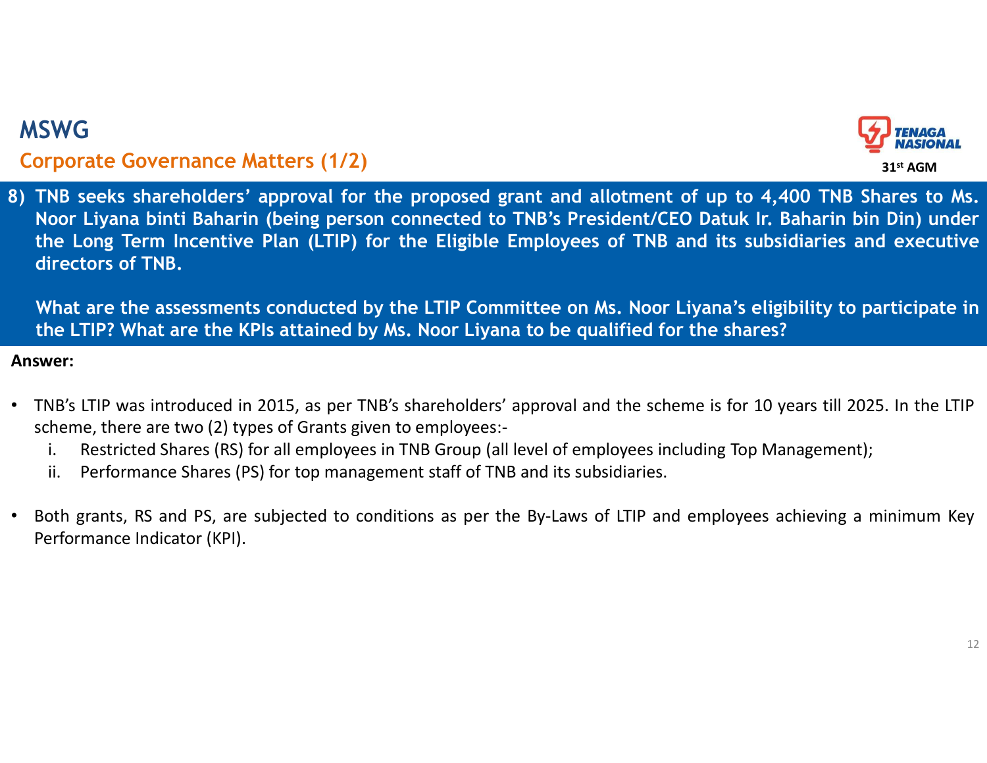## Corporate Governance Matters (1/2)



SWG<br> **Existed Corporate Governance Matters (1/2)**<br>
8) TNB seeks shareholders' approval for the proposed grant and allotment of up to 4,400 TNB Shares to Ms.<br>
Noor Liyana binti Baharin (being person connected to TNB's Presi SWG<br> **STAGE COVETTER COVETTER COVETTER (1/2)**<br>
THE seeks shareholders' approval for the proposed grant and allotment of up to 4,400 TNB Shares to Ms.<br>
Noor Liyana binti Baharin (being person connected to TNB's President/C THE LONG<br>
THE LONG COVERAGE COVERANCE COVERANCE COVERANCE THE SERVICE OF THE SERVICE OF THE SERVICE OF THE SAME THANGE<br>
THE LONG TERM INCENTIVE Plan (LTIP) for the Eligible Employees of TNB and its subsidiaries and executi SWG<br>
SWG<br>
orporate Governance Matters (1/2)<br>
TNB seeks shareholders' approval for the proposed grant<br>
Noor Liyana binti Baharin (being person connected to TNB<br>
the Long Term Incentive Plan (LTIP) for the Eligible Empl<br>
dir SWG<br> **CONTRIGE CONSTANT ARENT CONTABE SETT ASSESS AND ARENT CONTABE SERVIS ARENT THE SERVIS SAMELY ARENT ARENT ARENT<br>
THE BEST SERVIS SHARE IN (LTIP) for the Eligible Employees of TNB and its subsidiaries and executive<br>
d** THIP? SWE<br>
THIP seeks shareholders' approval for the proposed grant and allotment of up to 4,400 TNB Shares to Ms.<br>
Noor Liyana binti Baharin (being person connected to TNB's President/CEO Datuk Ir. Baharin bin Din) under<br> **EXECT MOBE COVERT WAS COMPTAINE COVERT ALL CONDUCED**<br> **FIRSH SHARE COVERT SHARE SHARE SHARE SHARE SHARE SHARE SHARE SHARE SHARE SHARE SHARE SHARE SHARE SHARE SHARE SHARE SHARE SHARE SHARE SHARE SHARE SHARE SHARE SHARE SHA** SWG<br>
SWG<br>
STONG STONG THE STONG STONG STATE SUPPOSED THE BUT THE STATE STATE STATE STATE STATE STATE STATE STATE STATE<br>
STATE LONG THE LONG TERM STATE LONG STATE UP ON MAT ARE LONG STATE UP ON MAT Are the assessments condu **EVENT THE COVERT COVERT SHARE (TITE)**<br>
IN Seeks shareholders' approval for the proposed grant and allotment of up to 4,400 TNB Shares to Ms.<br>
Noor Liyana binti Baharin (being person connected to TNB's President/CEO Datuk **EXECT SHARES (PROTAGE SHARES (PROTAGE)**<br> **Shares Shareholders'** approval for the proposed grant and allotment of up to 4,400 TNB Shares to Ms.<br>
Noor Liyana birti Baharin (being person connected to TNB's President/CEO Datu the Long Term Incentive Plan (LTIP) for the Eligible Employees c<br>directors of TNB.<br>What are the assessments conducted by the LTIP Committee on Ms<br>the LTIP? What are the KPIs attained by Ms. Noor Liyana to be qual<br>swer:<br>TNB

- -
	-
-